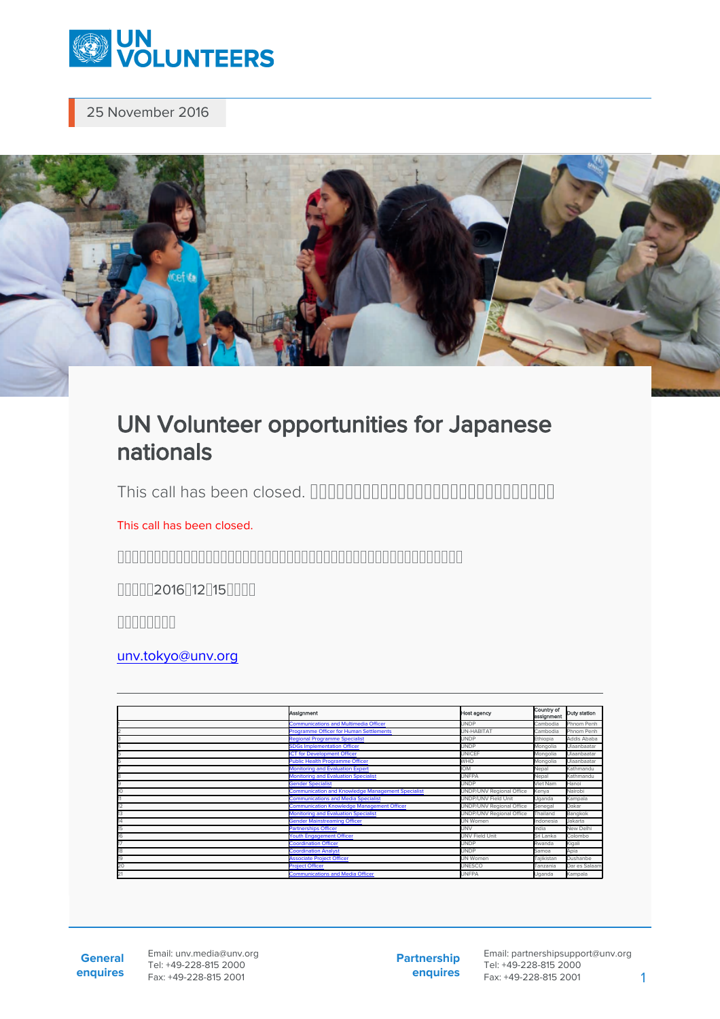

25 November 2016



## UN Volunteer opportunities for Japanese nationals

This call has been closed. 国連ボランティア募集(日本国籍をお持ちの方のみ応募可能)

This call has been closed.

 $\Gamma$ הם החברה החברה החברה החברה החברה החברה החברה החברה החברה ה

 $\Pi\Pi\Pi\Pi$ 2016 $\Pi$ 12 $\Pi$ 15 $\Pi\Pi\Pi$ 

お問い合わせ先:

## [unv.tokyo@unv.org](mailto:unv.tokyo@unv.org)

|    | Assignment                                        | <b>Host agency</b>              | Country of<br>assignment | Duty station  |
|----|---------------------------------------------------|---------------------------------|--------------------------|---------------|
|    | <b>Communications and Multimedia Officer</b>      | <b>INDP</b>                     | Cambodia                 | Phnom Penh    |
|    | <b>Programme Officer for Human Settlements</b>    | UN-HABITAT                      | Cambodia                 | Phnom Penh    |
|    | <b>Regional Programme Specialist</b>              | <b>UNDP</b>                     | Ethiopia                 | Addis Ababa   |
|    | <b>SDGs Implementation Officer</b>                | <b>INDP</b>                     | Mongolia                 | Ulaanbaatar   |
|    | <b>CT for Development Officer</b>                 | UNICEF                          | Mongolia                 | Ulaanbaatar   |
|    | <b>Public Health Programme Officer</b>            | <b>WHO</b>                      | Mongolia                 | Ulaanbaatar   |
|    | Monitoring and Evaluation Expert                  | <b>IOM</b>                      | Nepal                    | Kathmandu     |
|    | Monitoring and Evaluation Specialist              | <b>INFPA</b>                    | Nepal                    | Kathmandu     |
|    | <b>Gender Specialist</b>                          | <b>INDP</b>                     | Viet Nam                 | Hanoi         |
|    | Communication and Knowledge Management Specialist | <b>UNDP/UNV Regional Office</b> | Kenya                    | Nairobi       |
|    | <b>Communications and Media Specialist</b>        | UNDP/UNV Field Unit             | Uganda                   | Kampala       |
|    | Communication Knowledge Management Officer        | UNDP/UNV Regional Office        | Senegal                  | Dakar         |
|    | Monitoring and Evaluation Specialist              | <b>UNDP/UNV Regional Office</b> | Thailand                 | Bangkok       |
|    | <b>Gender Mainstreaming Officer</b>               | UN Women                        | Indonesia                | Jakarta       |
|    | <b>Partnerships Officer</b>                       | UNV                             | India                    | New Delhi     |
|    | Youth Engagement Officer                          | UNV Field Unit                  | Sri Lanka                | Colombo       |
|    | <b>Coordination Officer</b>                       | <b>UNDP</b>                     | Rwanda                   | Kigali        |
|    | <b>Coordination Analyst</b>                       | <b>UNDP</b>                     | Samoa                    | Apia          |
| 19 | <b>Associate Project Officer</b>                  | <b>IN Women</b>                 | Tajikistan               | Dushanbe      |
| 20 | <b>Project Officer</b>                            | UNESCO                          | Tanzania                 | Dar es Salaam |
| 21 | Communications and Media Officer                  | UNFPA                           | Uganda                   | Kampala       |

**General enquires**

Email: unv.media@unv.org Tel: +49-228-815 2000 Fax: +49-228-815 2001

**Partnership enquires**

Email: partnershipsupport@unv.org Tel: +49-228-815 2000 Fax: +49-228-815 2001 1